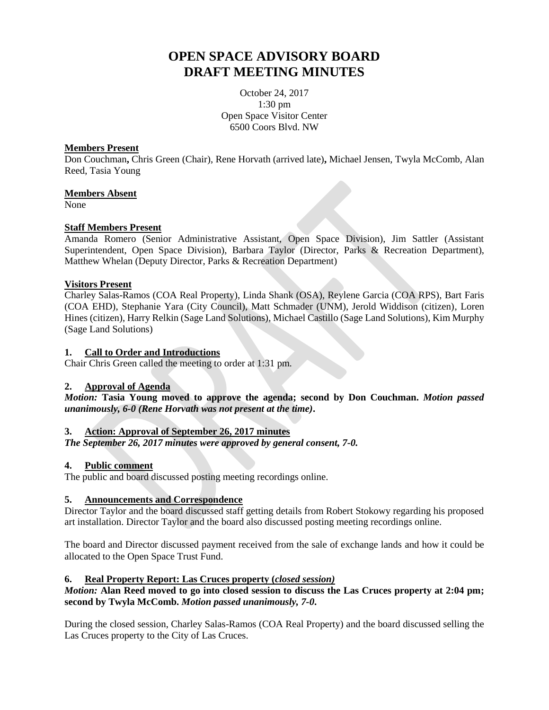# **OPEN SPACE ADVISORY BOARD DRAFT MEETING MINUTES**

October 24, 2017 1:30 pm Open Space Visitor Center 6500 Coors Blvd. NW

## **Members Present**

Don Couchman**,** Chris Green (Chair), Rene Horvath (arrived late)**,** Michael Jensen, Twyla McComb, Alan Reed, Tasia Young

## **Members Absent**

None

# **Staff Members Present**

Amanda Romero (Senior Administrative Assistant, Open Space Division), Jim Sattler (Assistant Superintendent, Open Space Division), Barbara Taylor (Director, Parks & Recreation Department), Matthew Whelan (Deputy Director, Parks & Recreation Department)

# **Visitors Present**

Charley Salas-Ramos (COA Real Property), Linda Shank (OSA), Reylene Garcia (COA RPS), Bart Faris (COA EHD), Stephanie Yara (City Council), Matt Schmader (UNM), Jerold Widdison (citizen), Loren Hines (citizen), Harry Relkin (Sage Land Solutions), Michael Castillo (Sage Land Solutions), Kim Murphy (Sage Land Solutions)

#### **1. Call to Order and Introductions**

Chair Chris Green called the meeting to order at 1:31 pm.

## **2. Approval of Agenda**

*Motion:* **Tasia Young moved to approve the agenda; second by Don Couchman.** *Motion passed unanimously, 6-0 (Rene Horvath was not present at the time)***.**

## **3. Action: Approval of September 26, 2017 minutes**

*The September 26, 2017 minutes were approved by general consent, 7-0.*

## **4. Public comment**

The public and board discussed posting meeting recordings online.

## **5. Announcements and Correspondence**

Director Taylor and the board discussed staff getting details from Robert Stokowy regarding his proposed art installation. Director Taylor and the board also discussed posting meeting recordings online.

The board and Director discussed payment received from the sale of exchange lands and how it could be allocated to the Open Space Trust Fund.

## **6. Real Property Report: Las Cruces property (***closed session)*

# *Motion:* Alan Reed moved to go into closed session to discuss the Las Cruces property at 2:04 pm; **second by Twyla McComb.** *Motion passed unanimously, 7-0***.**

During the closed session, Charley Salas-Ramos (COA Real Property) and the board discussed selling the Las Cruces property to the City of Las Cruces.